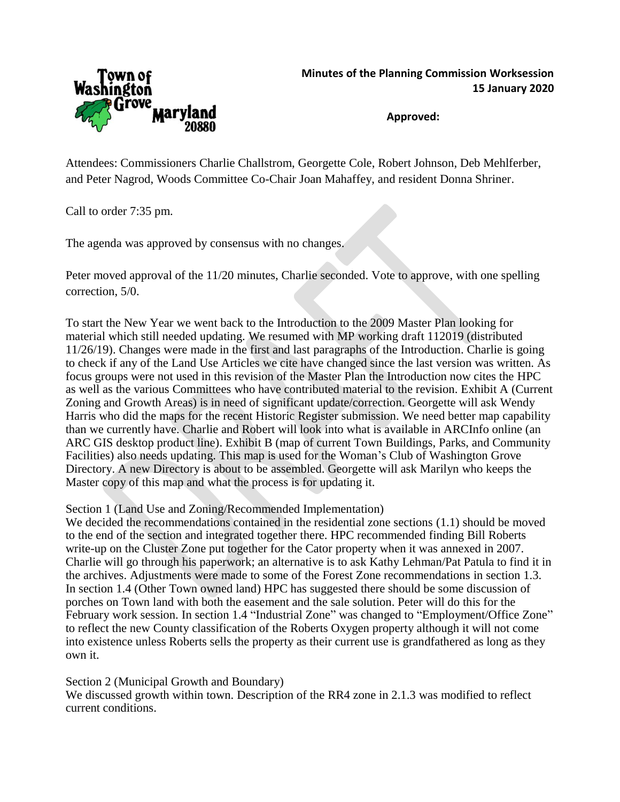

**Approved:**

Attendees: Commissioners Charlie Challstrom, Georgette Cole, Robert Johnson, Deb Mehlferber, and Peter Nagrod, Woods Committee Co-Chair Joan Mahaffey, and resident Donna Shriner.

Call to order 7:35 pm.

The agenda was approved by consensus with no changes.

Peter moved approval of the 11/20 minutes, Charlie seconded. Vote to approve, with one spelling correction, 5/0.

To start the New Year we went back to the Introduction to the 2009 Master Plan looking for material which still needed updating. We resumed with MP working draft 112019 (distributed 11/26/19). Changes were made in the first and last paragraphs of the Introduction. Charlie is going to check if any of the Land Use Articles we cite have changed since the last version was written. As focus groups were not used in this revision of the Master Plan the Introduction now cites the HPC as well as the various Committees who have contributed material to the revision. Exhibit A (Current Zoning and Growth Areas) is in need of significant update/correction. Georgette will ask Wendy Harris who did the maps for the recent Historic Register submission. We need better map capability than we currently have. Charlie and Robert will look into what is available in ARCInfo online (an ARC GIS desktop product line). Exhibit B (map of current Town Buildings, Parks, and Community Facilities) also needs updating. This map is used for the Woman's Club of Washington Grove Directory. A new Directory is about to be assembled. Georgette will ask Marilyn who keeps the Master copy of this map and what the process is for updating it.

Section 1 (Land Use and Zoning/Recommended Implementation)

We decided the recommendations contained in the residential zone sections (1.1) should be moved to the end of the section and integrated together there. HPC recommended finding Bill Roberts write-up on the Cluster Zone put together for the Cator property when it was annexed in 2007. Charlie will go through his paperwork; an alternative is to ask Kathy Lehman/Pat Patula to find it in the archives. Adjustments were made to some of the Forest Zone recommendations in section 1.3. In section 1.4 (Other Town owned land) HPC has suggested there should be some discussion of porches on Town land with both the easement and the sale solution. Peter will do this for the February work session. In section 1.4 "Industrial Zone" was changed to "Employment/Office Zone" to reflect the new County classification of the Roberts Oxygen property although it will not come into existence unless Roberts sells the property as their current use is grandfathered as long as they own it.

Section 2 (Municipal Growth and Boundary)

We discussed growth within town. Description of the RR4 zone in 2.1.3 was modified to reflect current conditions.